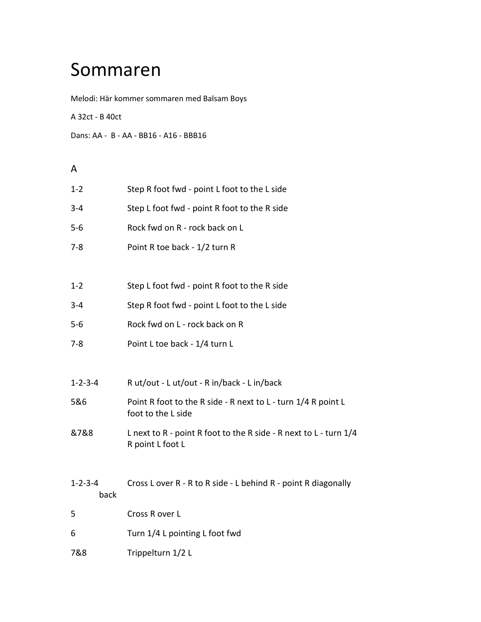## Sommaren

Melodi: Här kommer sommaren med Balsam Boys

A 32ct - B 40ct

Dans: AA - B - AA - BB16 - A16 - BBB16

## A

| $1 - 2$                 | Step R foot fwd - point L foot to the L side                                            |
|-------------------------|-----------------------------------------------------------------------------------------|
| $3 - 4$                 | Step L foot fwd - point R foot to the R side                                            |
| $5-6$                   | Rock fwd on R - rock back on L                                                          |
| $7 - 8$                 | Point R toe back - 1/2 turn R                                                           |
|                         |                                                                                         |
| $1 - 2$                 | Step L foot fwd - point R foot to the R side                                            |
| $3 - 4$                 | Step R foot fwd - point L foot to the L side                                            |
| $5-6$                   | Rock fwd on L - rock back on R                                                          |
| $7 - 8$                 | Point L toe back - 1/4 turn L                                                           |
|                         |                                                                                         |
| $1 - 2 - 3 - 4$         | Rut/out - Lut/out - Rin/back - Lin/back                                                 |
| 5&6                     | Point R foot to the R side - R next to L - turn 1/4 R point L<br>foot to the L side     |
| &7&8                    | L next to R - point R foot to the R side - R next to L - turn $1/4$<br>R point L foot L |
|                         |                                                                                         |
| $1 - 2 - 3 - 4$<br>back | Cross L over R - R to R side - L behind R - point R diagonally                          |
| 5                       | Cross R over L                                                                          |
| 6                       | Turn 1/4 L pointing L foot fwd                                                          |
| 7&8                     | Trippelturn 1/2 L                                                                       |